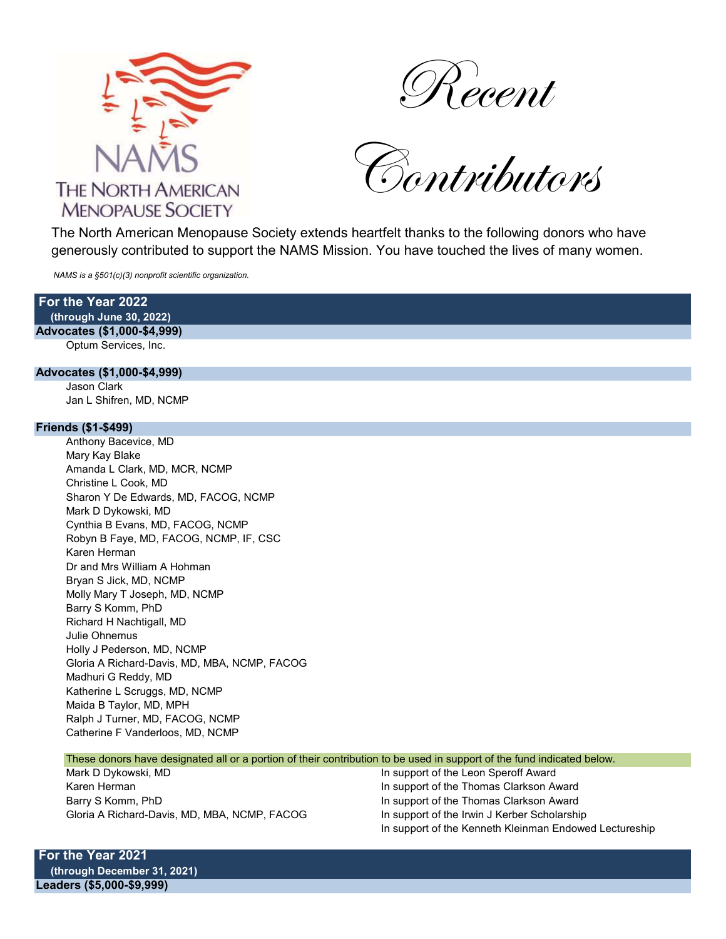



Contributors

 The North American Menopause Society extends heartfelt thanks to the following donors who have generously contributed to support the NAMS Mission. You have touched the lives of many women.

NAMS is a §501(c)(3) nonprofit scientific organization.

For the Year 2022 (through June 30, 2022)

Advocates (\$1,000-\$4,999) Optum Services, Inc.

#### Advocates (\$1,000-\$4,999)

Jason Clark Jan L Shifren, MD, NCMP

#### Friends (\$1-\$499)

Anthony Bacevice, MD Mary Kay Blake Amanda L Clark, MD, MCR, NCMP Christine L Cook, MD Sharon Y De Edwards, MD, FACOG, NCMP Mark D Dykowski, MD Cynthia B Evans, MD, FACOG, NCMP Robyn B Faye, MD, FACOG, NCMP, IF, CSC Karen Herman Dr and Mrs William A Hohman Bryan S Jick, MD, NCMP Molly Mary T Joseph, MD, NCMP Barry S Komm, PhD Richard H Nachtigall, MD Julie Ohnemus Holly J Pederson, MD, NCMP Gloria A Richard-Davis, MD, MBA, NCMP, FACOG Madhuri G Reddy, MD Katherine L Scruggs, MD, NCMP Maida B Taylor, MD, MPH Ralph J Turner, MD, FACOG, NCMP Catherine F Vanderloos, MD, NCMP

### These donors have designated all or a portion of their contribution to be used in support of the fund indicated below.

Mark D Dykowski, MD **In support of the Leon Speroff Award** Karen Herman **In support of the Thomas Clarkson Award** In support of the Thomas Clarkson Award Barry S Komm, PhD **In support of the Thomas Clarkson Award** Gloria A Richard-Davis, MD, MBA, NCMP, FACOG In support of the Irwin J Kerber Scholarship

In support of the Kenneth Kleinman Endowed Lectureship

For the Year 2021 (through December 31, 2021) Leaders (\$5,000-\$9,999)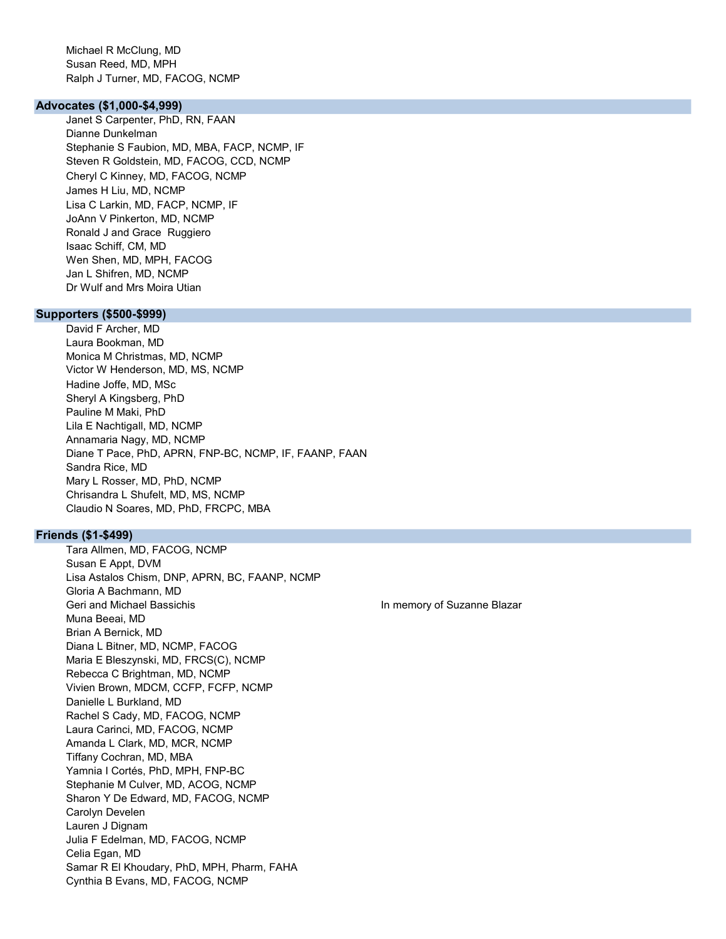Michael R McClung, MD Susan Reed, MD, MPH Ralph J Turner, MD, FACOG, NCMP

### Advocates (\$1,000-\$4,999)

Janet S Carpenter, PhD, RN, FAAN Dianne Dunkelman Stephanie S Faubion, MD, MBA, FACP, NCMP, IF Steven R Goldstein, MD, FACOG, CCD, NCMP Cheryl C Kinney, MD, FACOG, NCMP James H Liu, MD, NCMP Lisa C Larkin, MD, FACP, NCMP, IF JoAnn V Pinkerton, MD, NCMP Ronald J and Grace Ruggiero Isaac Schiff, CM, MD Wen Shen, MD, MPH, FACOG Jan L Shifren, MD, NCMP Dr Wulf and Mrs Moira Utian

# Supporters (\$500-\$999)

David F Archer, MD Laura Bookman, MD Monica M Christmas, MD, NCMP Victor W Henderson, MD, MS, NCMP Hadine Joffe, MD, MSc Sheryl A Kingsberg, PhD Pauline M Maki, PhD Lila E Nachtigall, MD, NCMP Annamaria Nagy, MD, NCMP Diane T Pace, PhD, APRN, FNP-BC, NCMP, IF, FAANP, FAAN Sandra Rice, MD Mary L Rosser, MD, PhD, NCMP Chrisandra L Shufelt, MD, MS, NCMP Claudio N Soares, MD, PhD, FRCPC, MBA

# Friends (\$1-\$499)

Tara Allmen, MD, FACOG, NCMP Susan E Appt, DVM Lisa Astalos Chism, DNP, APRN, BC, FAANP, NCMP Gloria A Bachmann, MD Geri and Michael Bassichis **In memory of Suzanne Blazar** In memory of Suzanne Blazar Muna Beeai, MD Brian A Bernick, MD Diana L Bitner, MD, NCMP, FACOG Maria E Bleszynski, MD, FRCS(C), NCMP Rebecca C Brightman, MD, NCMP Vivien Brown, MDCM, CCFP, FCFP, NCMP Danielle L Burkland, MD Rachel S Cady, MD, FACOG, NCMP Laura Carinci, MD, FACOG, NCMP Amanda L Clark, MD, MCR, NCMP Tiffany Cochran, MD, MBA Yamnia I Cortés, PhD, MPH, FNP-BC Stephanie M Culver, MD, ACOG, NCMP Sharon Y De Edward, MD, FACOG, NCMP Carolyn Develen Lauren J Dignam Julia F Edelman, MD, FACOG, NCMP Celia Egan, MD Samar R El Khoudary, PhD, MPH, Pharm, FAHA Cynthia B Evans, MD, FACOG, NCMP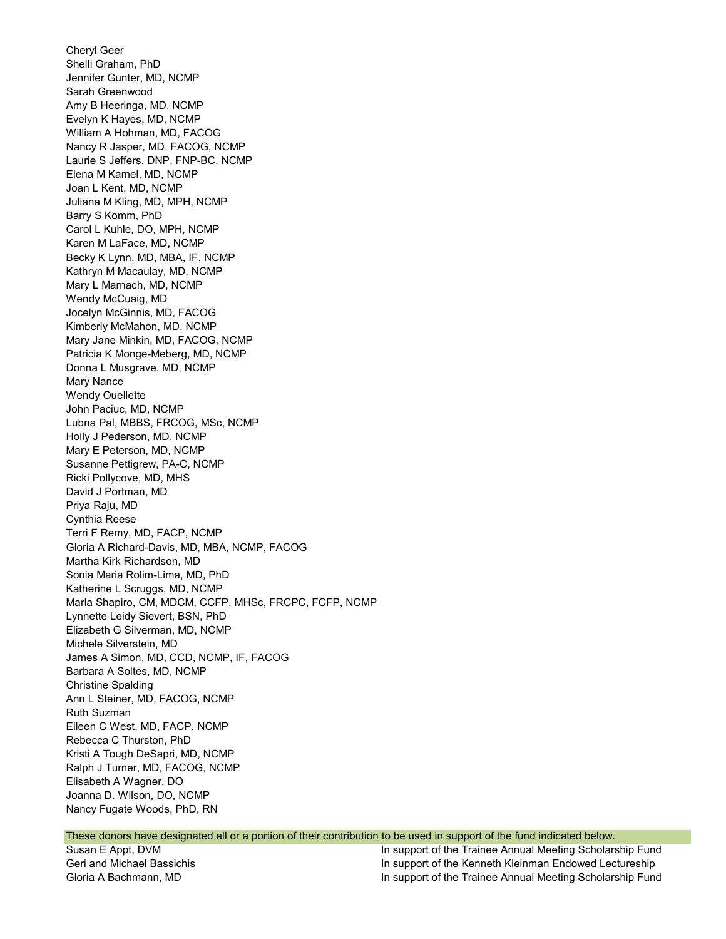Cheryl Geer Shelli Graham, PhD Jennifer Gunter, MD, NCMP Sarah Greenwood Amy B Heeringa, MD, NCMP Evelyn K Hayes, MD, NCMP William A Hohman, MD, FACOG Nancy R Jasper, MD, FACOG, NCMP Laurie S Jeffers, DNP, FNP-BC, NCMP Elena M Kamel, MD, NCMP Joan L Kent, MD, NCMP Juliana M Kling, MD, MPH, NCMP Barry S Komm, PhD Carol L Kuhle, DO, MPH, NCMP Karen M LaFace, MD, NCMP Becky K Lynn, MD, MBA, IF, NCMP Kathryn M Macaulay, MD, NCMP Mary L Marnach, MD, NCMP Wendy McCuaig, MD Jocelyn McGinnis, MD, FACOG Kimberly McMahon, MD, NCMP Mary Jane Minkin, MD, FACOG, NCMP Patricia K Monge-Meberg, MD, NCMP Donna L Musgrave, MD, NCMP Mary Nance Wendy Ouellette John Paciuc, MD, NCMP Lubna Pal, MBBS, FRCOG, MSc, NCMP Holly J Pederson, MD, NCMP Mary E Peterson, MD, NCMP Susanne Pettigrew, PA-C, NCMP Ricki Pollycove, MD, MHS David J Portman, MD Priya Raju, MD Cynthia Reese Terri F Remy, MD, FACP, NCMP Gloria A Richard-Davis, MD, MBA, NCMP, FACOG Martha Kirk Richardson, MD Sonia Maria Rolim-Lima, MD, PhD Katherine L Scruggs, MD, NCMP Marla Shapiro, CM, MDCM, CCFP, MHSc, FRCPC, FCFP, NCMP Lynnette Leidy Sievert, BSN, PhD Elizabeth G Silverman, MD, NCMP Michele Silverstein, MD James A Simon, MD, CCD, NCMP, IF, FACOG Barbara A Soltes, MD, NCMP Christine Spalding Ann L Steiner, MD, FACOG, NCMP Ruth Suzman Eileen C West, MD, FACP, NCMP Rebecca C Thurston, PhD Kristi A Tough DeSapri, MD, NCMP Ralph J Turner, MD, FACOG, NCMP Elisabeth A Wagner, DO Joanna D. Wilson, DO, NCMP Nancy Fugate Woods, PhD, RN

#### These donors have designated all or a portion of their contribution to be used in support of the fund indicated below.

Susan E Appt, DVM In support of the Trainee Annual Meeting Scholarship Fund Geri and Michael Bassichis In support of the Kenneth Kleinman Endowed Lectureship Gloria A Bachmann, MD **In support of the Trainee Annual Meeting Scholarship Fund**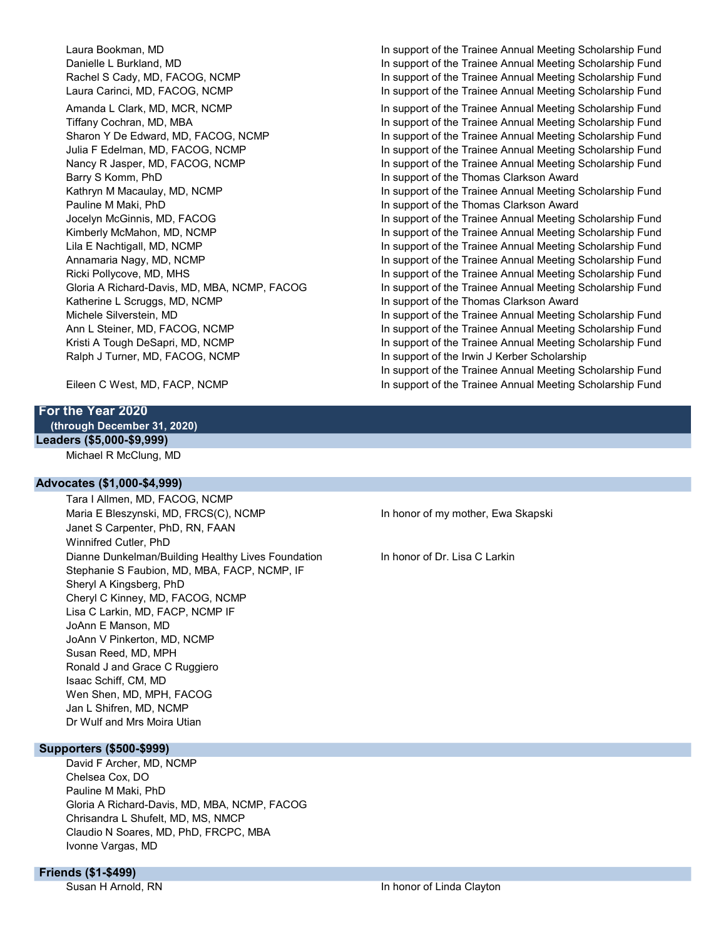Barry S Komm, PhD **In support of the Thomas Clarkson Award** Pauline M Maki, PhD **In support of the Thomas Clarkson Award** Katherine L Scruggs, MD, NCMP **In support of the Thomas Clarkson Award** Ralph J Turner, MD, FACOG, NCMP **In support of the Irwin J Kerber Scholarship** 

Laura Bookman, MD **In support of the Trainee Annual Meeting Scholarship Fund** Danielle L Burkland, MD **In support of the Trainee Annual Meeting Scholarship Fund** Rachel S Cady, MD, FACOG, NCMP **In support of the Trainee Annual Meeting Scholarship Fund** Laura Carinci, MD, FACOG, NCMP **In support of the Trainee Annual Meeting Scholarship Fund** Amanda L Clark, MD, MCR, NCMP **In support of the Trainee Annual Meeting Scholarship Fund** Tiffany Cochran, MD, MBA **In support of the Trainee Annual Meeting Scholarship Fund** Sharon Y De Edward, MD, FACOG, NCMP **In support of the Trainee Annual Meeting Scholarship Fund** Julia F Edelman, MD, FACOG, NCMP **In support of the Trainee Annual Meeting Scholarship Fund** Nancy R Jasper, MD, FACOG, NCMP **In support of the Trainee Annual Meeting Scholarship Fund** Kathryn M Macaulay, MD, NCMP **In support of the Trainee Annual Meeting Scholarship Fund** Jocelyn McGinnis, MD, FACOG In support of the Trainee Annual Meeting Scholarship Fund Kimberly McMahon, MD, NCMP **In support of the Trainee Annual Meeting Scholarship Fund** Lila E Nachtigall, MD, NCMP **In support of the Trainee Annual Meeting Scholarship Fund** Annamaria Nagy, MD, NCMP **In support of the Trainee Annual Meeting Scholarship Fund** Ricki Pollycove, MD, MHS **In support of the Trainee Annual Meeting Scholarship Fund** Gloria A Richard-Davis, MD, MBA, NCMP, FACOG In support of the Trainee Annual Meeting Scholarship Fund Michele Silverstein, MD **In support of the Trainee Annual Meeting Scholarship Fund** Ann L Steiner, MD, FACOG, NCMP **In support of the Trainee Annual Meeting Scholarship Fund** Kristi A Tough DeSapri, MD, NCMP **In support of the Trainee Annual Meeting Scholarship Fund** In support of the Trainee Annual Meeting Scholarship Fund Eileen C West, MD, FACP, NCMP **In support of the Trainee Annual Meeting Scholarship Fund** 

# For the Year 2020 (through December 31, 2020) Leaders (\$5,000-\$9,999)

Michael R McClung, MD

### Advocates (\$1,000-\$4,999)

Tara I Allmen, MD, FACOG, NCMP Maria E Bleszynski, MD, FRCS(C), NCMP **In honor of my mother, Ewa Skapski** Janet S Carpenter, PhD, RN, FAAN Winnifred Cutler, PhD Dianne Dunkelman/Building Healthy Lives Foundation In honor of Dr. Lisa C Larkin Stephanie S Faubion, MD, MBA, FACP, NCMP, IF Sheryl A Kingsberg, PhD Cheryl C Kinney, MD, FACOG, NCMP Lisa C Larkin, MD, FACP, NCMP IF JoAnn E Manson, MD JoAnn V Pinkerton, MD, NCMP Susan Reed, MD, MPH Ronald J and Grace C Ruggiero Isaac Schiff, CM, MD Wen Shen, MD, MPH, FACOG Jan L Shifren, MD, NCMP Dr Wulf and Mrs Moira Utian

Supporters (\$500-\$999)

David F Archer, MD, NCMP Chelsea Cox, DO Pauline M Maki, PhD Gloria A Richard-Davis, MD, MBA, NCMP, FACOG Chrisandra L Shufelt, MD, MS, NMCP Claudio N Soares, MD, PhD, FRCPC, MBA Ivonne Vargas, MD

## Friends (\$1-\$499)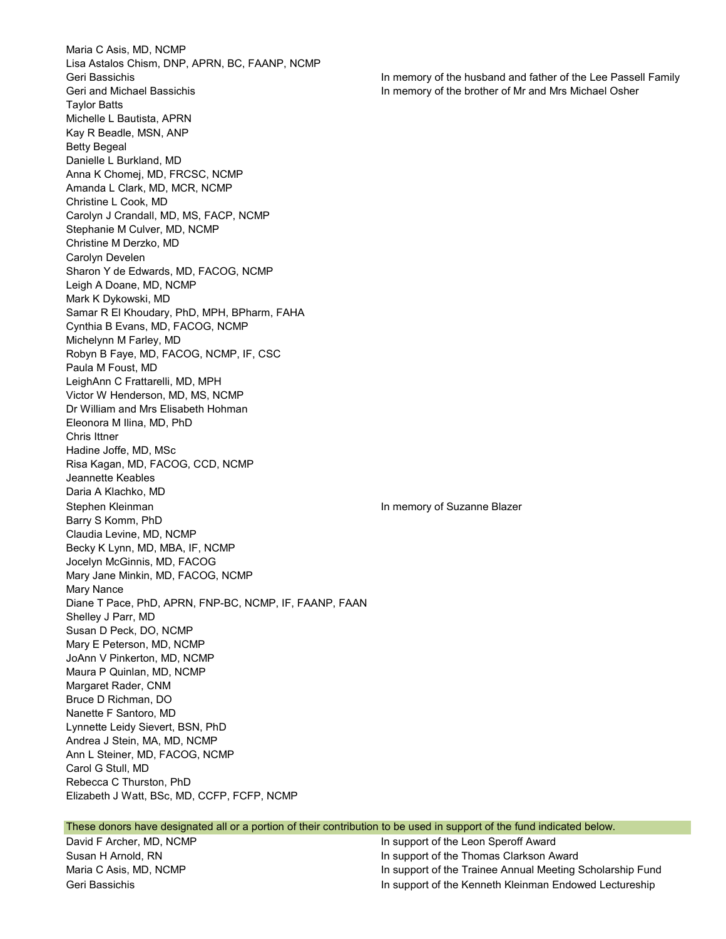Maria C Asis, MD, NCMP Lisa Astalos Chism, DNP, APRN, BC, FAANP, NCMP Geri Bassichis In memory of the husband and father of the Lee Passell Family Geri and Michael Bassichis In memory of the brother of Mr and Mrs Michael Osher Taylor Batts Michelle L Bautista, APRN Kay R Beadle, MSN, ANP Betty Begeal Danielle L Burkland, MD Anna K Chomej, MD, FRCSC, NCMP Amanda L Clark, MD, MCR, NCMP Christine L Cook, MD Carolyn J Crandall, MD, MS, FACP, NCMP Stephanie M Culver, MD, NCMP Christine M Derzko, MD Carolyn Develen Sharon Y de Edwards, MD, FACOG, NCMP Leigh A Doane, MD, NCMP Mark K Dykowski, MD Samar R El Khoudary, PhD, MPH, BPharm, FAHA Cynthia B Evans, MD, FACOG, NCMP Michelynn M Farley, MD Robyn B Faye, MD, FACOG, NCMP, IF, CSC Paula M Foust, MD LeighAnn C Frattarelli, MD, MPH Victor W Henderson, MD, MS, NCMP Dr William and Mrs Elisabeth Hohman Eleonora M Ilina, MD, PhD Chris Ittner Hadine Joffe, MD, MSc Risa Kagan, MD, FACOG, CCD, NCMP Jeannette Keables Daria A Klachko, MD Stephen Kleinman **In memory of Suzanne Blazer In memory of Suzanne Blazer** Barry S Komm, PhD Claudia Levine, MD, NCMP Becky K Lynn, MD, MBA, IF, NCMP Jocelyn McGinnis, MD, FACOG Mary Jane Minkin, MD, FACOG, NCMP Mary Nance Diane T Pace, PhD, APRN, FNP-BC, NCMP, IF, FAANP, FAAN Shelley J Parr, MD Susan D Peck, DO, NCMP Mary E Peterson, MD, NCMP JoAnn V Pinkerton, MD, NCMP Maura P Quinlan, MD, NCMP Margaret Rader, CNM Bruce D Richman, DO Nanette F Santoro, MD Lynnette Leidy Sievert, BSN, PhD Andrea J Stein, MA, MD, NCMP Ann L Steiner, MD, FACOG, NCMP Carol G Stull, MD Rebecca C Thurston, PhD Elizabeth J Watt, BSc, MD, CCFP, FCFP, NCMP

| These donors have designated all or a portion of their contribution to be used in support of the fund indicated below. |                                      |
|------------------------------------------------------------------------------------------------------------------------|--------------------------------------|
| David F Archer, MD, NCMP                                                                                               | In support of the Leon Speroff Award |

Susan H Arnold, RN **In support of the Thomas Clarkson Award** Maria C Asis, MD, NCMP **In support of the Trainee Annual Meeting Scholarship Fund** Geri Bassichis In support of the Kenneth Kleinman Endowed Lectureship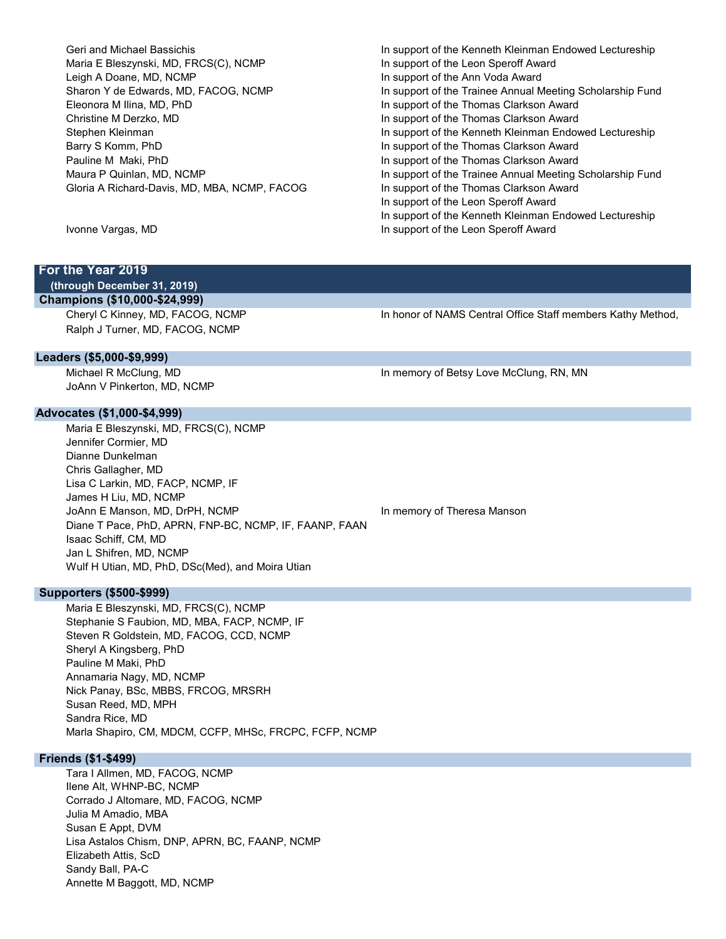Geri and Michael Bassichis In support of the Kenneth Kleinman Endowed Lectureship Maria E Bleszynski, MD, FRCS(C), NCMP **In the Support of the Leon Speroff Award** Leigh A Doane, MD, NCMP **In support of the Ann Voda Award** Eleonora M Ilina, MD, PhD In support of the Thomas Clarkson Award Christine M Derzko, MD **In support of the Thomas Clarkson Award** Barry S Komm, PhD **In support of the Thomas Clarkson Award** Pauline M Maki, PhD **In support of the Thomas Clarkson Award** Gloria A Richard-Davis, MD, MBA, NCMP, FACOG In support of the Thomas Clarkson Award

Sharon Y de Edwards, MD, FACOG, NCMP In support of the Trainee Annual Meeting Scholarship Fund Stephen Kleinman **In support of the Kenneth Kleinman Endowed Lectureship** In support of the Kenneth Kleinman Endowed Lectureship Maura P Quinlan, MD, NCMP **In support of the Trainee Annual Meeting Scholarship Fund** In support of the Leon Speroff Award In support of the Kenneth Kleinman Endowed Lectureship

Ivonne Vargas, MD **In support of the Leon Speroff Award** 

# For the Year 2019

(through December 31, 2019)

# Champions (\$10,000-\$24,999)

Ralph J Turner, MD, FACOG, NCMP

Cheryl C Kinney, MD, FACOG, NCMP **In honor of NAMS Central Office Staff members Kathy Method**,

#### Leaders (\$5,000-\$9,999)

JoAnn V Pinkerton, MD, NCMP

Advocates (\$1,000-\$4,999)

Maria E Bleszynski, MD, FRCS(C), NCMP Jennifer Cormier, MD Dianne Dunkelman Chris Gallagher, MD Lisa C Larkin, MD, FACP, NCMP, IF James H Liu, MD, NCMP JoAnn E Manson, MD, DrPH, NCMP **In the Contract Contract Contract Contract** In memory of Theresa Manson Diane T Pace, PhD, APRN, FNP-BC, NCMP, IF, FAANP, FAAN Isaac Schiff, CM, MD Jan L Shifren, MD, NCMP Wulf H Utian, MD, PhD, DSc(Med), and Moira Utian

Supporters (\$500-\$999)

Maria E Bleszynski, MD, FRCS(C), NCMP Stephanie S Faubion, MD, MBA, FACP, NCMP, IF Steven R Goldstein, MD, FACOG, CCD, NCMP Sheryl A Kingsberg, PhD Pauline M Maki, PhD Annamaria Nagy, MD, NCMP Nick Panay, BSc, MBBS, FRCOG, MRSRH Susan Reed, MD, MPH Sandra Rice, MD Marla Shapiro, CM, MDCM, CCFP, MHSc, FRCPC, FCFP, NCMP

## Friends (\$1-\$499)

Tara I Allmen, MD, FACOG, NCMP Ilene Alt, WHNP-BC, NCMP Corrado J Altomare, MD, FACOG, NCMP Julia M Amadio, MBA Susan E Appt, DVM Lisa Astalos Chism, DNP, APRN, BC, FAANP, NCMP Elizabeth Attis, ScD Sandy Ball, PA-C Annette M Baggott, MD, NCMP

Michael R McClung, MD **In memory of Betsy Love McClung, RN, MN**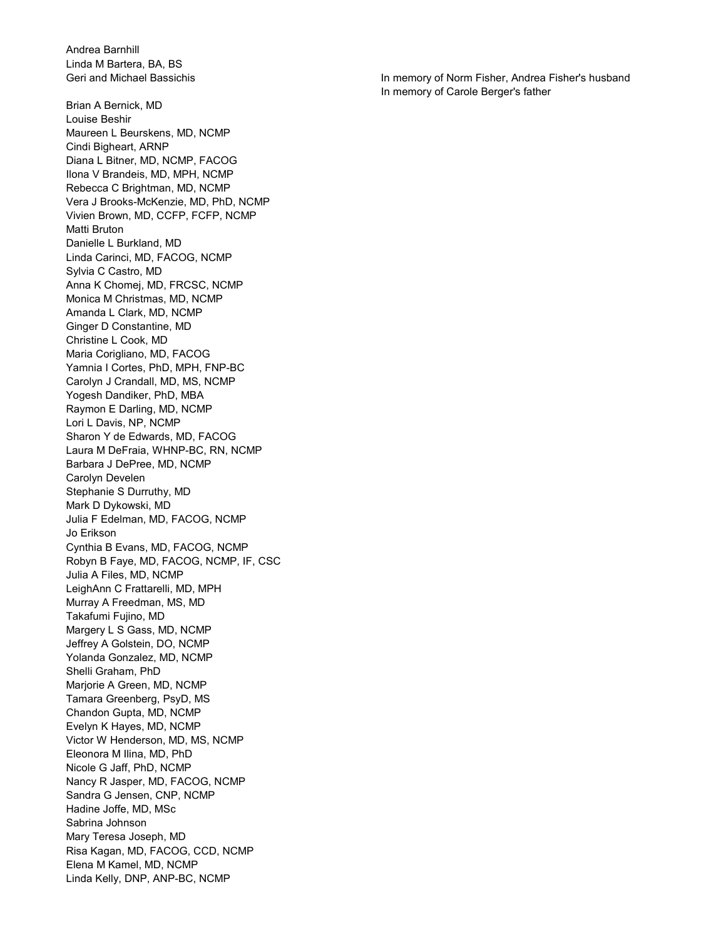Andrea Barnhill Linda M Bartera, BA, BS

Brian A Bernick, MD Louise Beshir Maureen L Beurskens, MD, NCMP Cindi Bigheart, ARNP Diana L Bitner, MD, NCMP, FACOG Ilona V Brandeis, MD, MPH, NCMP Rebecca C Brightman, MD, NCMP Vera J Brooks-McKenzie, MD, PhD, NCMP Vivien Brown, MD, CCFP, FCFP, NCMP Matti Bruton Danielle L Burkland, MD Linda Carinci, MD, FACOG, NCMP Sylvia C Castro, MD Anna K Chomej, MD, FRCSC, NCMP Monica M Christmas, MD, NCMP Amanda L Clark, MD, NCMP Ginger D Constantine, MD Christine L Cook, MD Maria Corigliano, MD, FACOG Yamnia I Cortes, PhD, MPH, FNP-BC Carolyn J Crandall, MD, MS, NCMP Yogesh Dandiker, PhD, MBA Raymon E Darling, MD, NCMP Lori L Davis, NP, NCMP Sharon Y de Edwards, MD, FACOG Laura M DeFraia, WHNP-BC, RN, NCMP Barbara J DePree, MD, NCMP Carolyn Develen Stephanie S Durruthy, MD Mark D Dykowski, MD Julia F Edelman, MD, FACOG, NCMP Jo Erikson Cynthia B Evans, MD, FACOG, NCMP Robyn B Faye, MD, FACOG, NCMP, IF, CSC Julia A Files, MD, NCMP LeighAnn C Frattarelli, MD, MPH Murray A Freedman, MS, MD Takafumi Fujino, MD Margery L S Gass, MD, NCMP Jeffrey A Golstein, DO, NCMP Yolanda Gonzalez, MD, NCMP Shelli Graham, PhD Marjorie A Green, MD, NCMP Tamara Greenberg, PsyD, MS Chandon Gupta, MD, NCMP Evelyn K Hayes, MD, NCMP Victor W Henderson, MD, MS, NCMP Eleonora M Ilina, MD, PhD Nicole G Jaff, PhD, NCMP Nancy R Jasper, MD, FACOG, NCMP Sandra G Jensen, CNP, NCMP Hadine Joffe, MD, MSc Sabrina Johnson Mary Teresa Joseph, MD Risa Kagan, MD, FACOG, CCD, NCMP Elena M Kamel, MD, NCMP Linda Kelly, DNP, ANP-BC, NCMP

Geri and Michael Bassichis In memory of Norm Fisher, Andrea Fisher's husband In memory of Carole Berger's father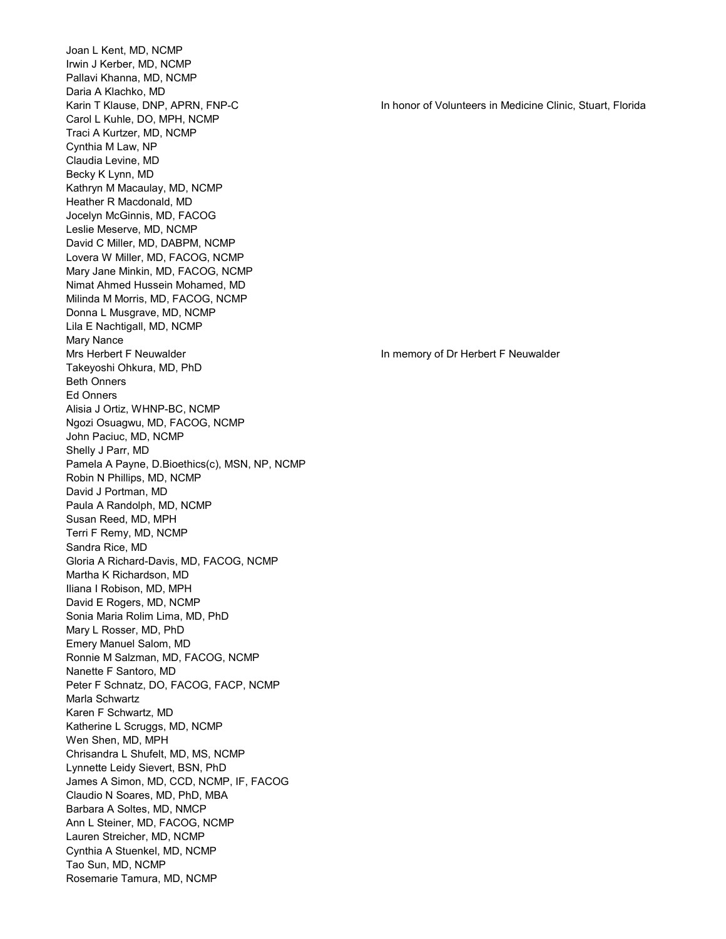Joan L Kent, MD, NCMP Irwin J Kerber, MD, NCMP Pallavi Khanna, MD, NCMP Daria A Klachko, MD Karin T Klause, DNP, APRN, FNP-C **In the United Stuart, A Constant Constant** In honor of Volunteers in Medicine Clinic, Stuart, Florida Carol L Kuhle, DO, MPH, NCMP Traci A Kurtzer, MD, NCMP Cynthia M Law, NP Claudia Levine, MD Becky K Lynn, MD Kathryn M Macaulay, MD, NCMP Heather R Macdonald, MD Jocelyn McGinnis, MD, FACOG Leslie Meserve, MD, NCMP David C Miller, MD, DABPM, NCMP Lovera W Miller, MD, FACOG, NCMP Mary Jane Minkin, MD, FACOG, NCMP Nimat Ahmed Hussein Mohamed, MD Milinda M Morris, MD, FACOG, NCMP Donna L Musgrave, MD, NCMP Lila E Nachtigall, MD, NCMP Mary Nance Mrs Herbert F Neuwalder **In memory of Dr Herbert F Neuwalder** In memory of Dr Herbert F Neuwalder Takeyoshi Ohkura, MD, PhD Beth Onners Ed Onners Alisia J Ortiz, WHNP-BC, NCMP Ngozi Osuagwu, MD, FACOG, NCMP John Paciuc, MD, NCMP Shelly J Parr, MD Pamela A Payne, D.Bioethics(c), MSN, NP, NCMP Robin N Phillips, MD, NCMP David J Portman, MD Paula A Randolph, MD, NCMP Susan Reed, MD, MPH Terri F Remy, MD, NCMP Sandra Rice, MD Gloria A Richard-Davis, MD, FACOG, NCMP Martha K Richardson, MD Iliana I Robison, MD, MPH David E Rogers, MD, NCMP Sonia Maria Rolim Lima, MD, PhD Mary L Rosser, MD, PhD Emery Manuel Salom, MD Ronnie M Salzman, MD, FACOG, NCMP Nanette F Santoro, MD Peter F Schnatz, DO, FACOG, FACP, NCMP Marla Schwartz Karen F Schwartz, MD Katherine L Scruggs, MD, NCMP Wen Shen, MD, MPH Chrisandra L Shufelt, MD, MS, NCMP Lynnette Leidy Sievert, BSN, PhD James A Simon, MD, CCD, NCMP, IF, FACOG Claudio N Soares, MD, PhD, MBA Barbara A Soltes, MD, NMCP Ann L Steiner, MD, FACOG, NCMP Lauren Streicher, MD, NCMP Cynthia A Stuenkel, MD, NCMP Tao Sun, MD, NCMP Rosemarie Tamura, MD, NCMP